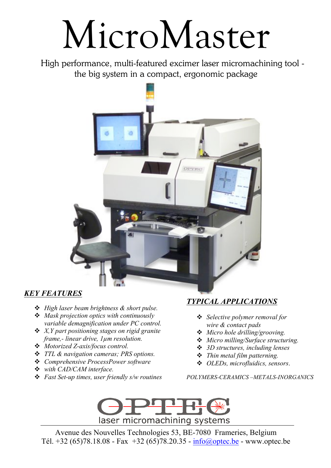## MicroMaster

High performance, multi-featured excimer laser micromachining tool the big system in a compact, ergonomic package



## *KEY FEATURES*

- ! *High laser beam brightness & short pulse.*
- ! *Mask projection optics with continuously variable demagnification under PC control.*
- ! *X,Y part positioning stages on rigid granite frame,- linear drive, 1µm resolution.*
- ! *Motorized Z-axis/focus control.*
- ! *TTL & navigation cameras; PRS options.*
- ! *Comprehensive ProcessPower software*
- ! *with CAD/CAM interface.*
- ! *Fast Set-up times, user friendly s/w routines*

## *TYPICAL APPLICATIONS*

- ! *Selective polymer removal for wire & contact pads*
- ! *Micro hole drilling/grooving.*
- ! *Micro milling/Surface structuring.*
- ! *3D structures, including lenses*
- ! *Thin metal film patterning.*
- ! *OLEDs, microfluidics, sensors*.

*POLYMERS-CERAMICS –METALS-INORGANICS*



Avenue des Nouvelles Technologies 53, BE-7080 Frameries, Belgium Tél. +32 (65)78.18.08 - Fax +32 (65)78.20.35 -  $info@optec.be$  - www.optec.be